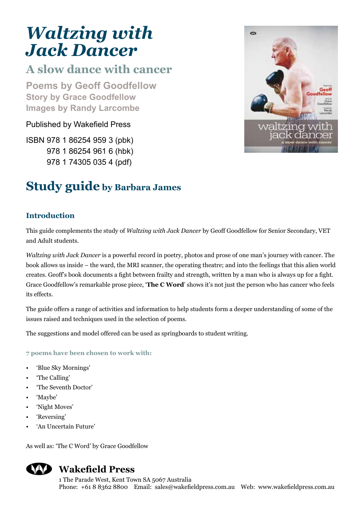# *Waltzing with Jack Dancer*

# **A slow dance with cancer**

**Poems by Geoff Goodfellow Story by Grace Goodfellow Images by Randy Larcombe**

Published by Wakefield Press

ISBN 978 1 86254 959 3 (pbk) 978 1 86254 961 6 (hbk) 978 1 74305 035 4 (pdf)

# **Study guide by Barbara James**

# **Introduction**

This guide complements the study of *Waltzing with Jack Dancer* by Geoff Goodfellow for Senior Secondary, VET and Adult students.

*Waltzing with Jack Dancer* is a powerful record in poetry, photos and prose of one man's journey with cancer. The book allows us inside – the ward, the MRI scanner, the operating theatre; and into the feelings that this alien world creates. Geoff's book documents a fight between frailty and strength, written by a man who is always up for a fight. Grace Goodfellow's remarkable prose piece, '**The C Word**' shows it's not just the person who has cancer who feels its effects.

The guide offers a range of activities and information to help students form a deeper understanding of some of the issues raised and techniques used in the selection of poems.

The suggestions and model offered can be used as springboards to student writing.

**7 poems have been chosen to work with:**

- 'Blue Sky Mornings'
- 'The Calling'
- 'The Seventh Doctor'
- 'Maybe'
- 'Night Moves'
- 'Reversing'
- 'An Uncertain Future'

As well as: 'The C Word' by Grace Goodfellow



# **Wakefield Press**

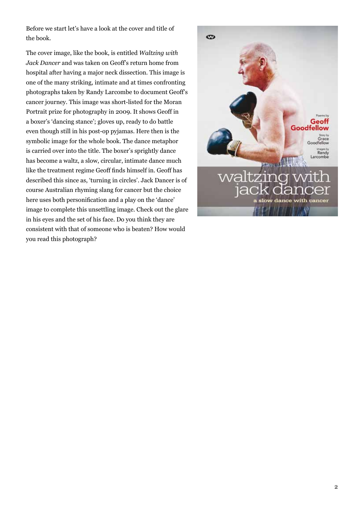Before we start let's have a look at the cover and title of the book.

The cover image, like the book, is entitled *Waltzing with Jack Dancer* and was taken on Geoff's return home from hospital after having a major neck dissection. This image is one of the many striking, intimate and at times confronting photographs taken by Randy Larcombe to document Geoff's cancer journey. This image was short-listed for the Moran Portrait prize for photography in 2009. It shows Geoff in a boxer's 'dancing stance'; gloves up, ready to do battle even though still in his post-op pyjamas. Here then is the symbolic image for the whole book. The dance metaphor is carried over into the title. The boxer's sprightly dance has become a waltz, a slow, circular, intimate dance much like the treatment regime Geoff finds himself in. Geoff has described this since as, 'turning in circles'. Jack Dancer is of course Australian rhyming slang for cancer but the choice here uses both personification and a play on the 'dance' image to complete this unsettling image. Check out the glare in his eyes and the set of his face. Do you think they are consistent with that of someone who is beaten? How would you read this photograph?

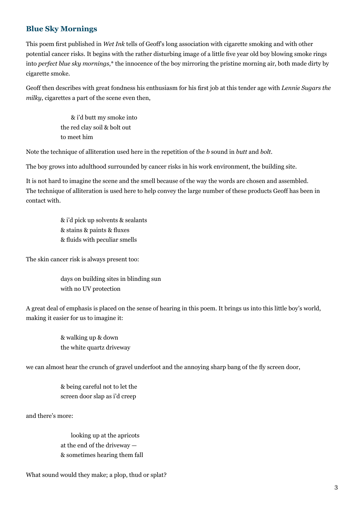# **Blue Sky Mornings**

This poem first published in *Wet Ink* tells of Geoff's long association with cigarette smoking and with other potential cancer risks. It begins with the rather disturbing image of a little five year old boy blowing smoke rings into *perfect blue sky mornings*,\* the innocence of the boy mirroring the pristine morning air, both made dirty by cigarette smoke.

Geoff then describes with great fondness his enthusiasm for his first job at this tender age with *Lennie Sugars the milky*, cigarettes a part of the scene even then,

> & i'd butt my smoke into the red clay soil & bolt out to meet him

Note the technique of alliteration used here in the repetition of the *b* sound in *butt* and *bolt.*

The boy grows into adulthood surrounded by cancer risks in his work environment, the building site.

It is not hard to imagine the scene and the smell because of the way the words are chosen and assembled. The technique of alliteration is used here to help convey the large number of these products Geoff has been in contact with.

> & i'd pick up solvents & sealants & stains & paints & fluxes & fluids with peculiar smells

The skin cancer risk is always present too:

days on building sites in blinding sun with no UV protection

A great deal of emphasis is placed on the sense of hearing in this poem. It brings us into this little boy's world, making it easier for us to imagine it:

> & walking up & down the white quartz driveway

we can almost hear the crunch of gravel underfoot and the annoying sharp bang of the fly screen door,

& being careful not to let the screen door slap as i'd creep

and there's more:

 looking up at the apricots at the end of the driveway — & sometimes hearing them fall

What sound would they make; a plop, thud or splat?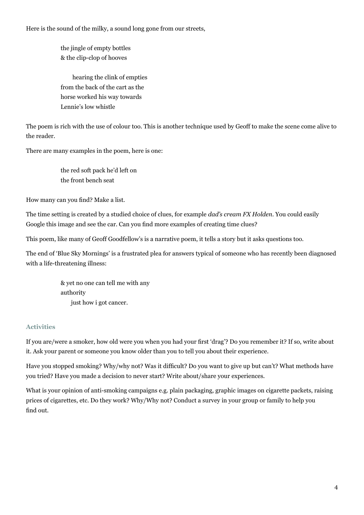Here is the sound of the milky, a sound long gone from our streets,

the jingle of empty bottles & the clip-clop of hooves

 hearing the clink of empties from the back of the cart as the horse worked his way towards Lennie's low whistle

The poem is rich with the use of colour too. This is another technique used by Geoff to make the scene come alive to the reader.

There are many examples in the poem, here is one:

the red soft pack he'd left on the front bench seat

How many can you find? Make a list.

The time setting is created by a studied choice of clues, for example *dad's cream FX Holden*. You could easily Google this image and see the car. Can you find more examples of creating time clues?

This poem, like many of Geoff Goodfellow's is a narrative poem, it tells a story but it asks questions too.

The end of 'Blue Sky Mornings' is a frustrated plea for answers typical of someone who has recently been diagnosed with a life-threatening illness:

> & yet no one can tell me with any authority just how i got cancer.

#### **Activities**

If you are/were a smoker, how old were you when you had your first 'drag'? Do you remember it? If so, write about it. Ask your parent or someone you know older than you to tell you about their experience.

Have you stopped smoking? Why/why not? Was it difficult? Do you want to give up but can't? What methods have you tried? Have you made a decision to never start? Write about/share your experiences.

What is your opinion of anti-smoking campaigns e.g. plain packaging, graphic images on cigarette packets, raising prices of cigarettes, etc. Do they work? Why/Why not? Conduct a survey in your group or family to help you find out.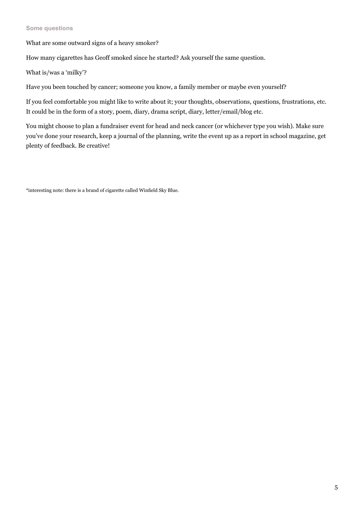#### **Some questions**

What are some outward signs of a heavy smoker?

How many cigarettes has Geoff smoked since he started? Ask yourself the same question.

What is/was a 'milky'?

Have you been touched by cancer; someone you know, a family member or maybe even yourself?

If you feel comfortable you might like to write about it; your thoughts, observations, questions, frustrations, etc. It could be in the form of a story, poem, diary, drama script, diary, letter/email/blog etc.

You might choose to plan a fundraiser event for head and neck cancer (or whichever type you wish). Make sure you've done your research, keep a journal of the planning, write the event up as a report in school magazine, get plenty of feedback. Be creative!

\*interesting note: there is a brand of cigarette called Winfield Sky Blue.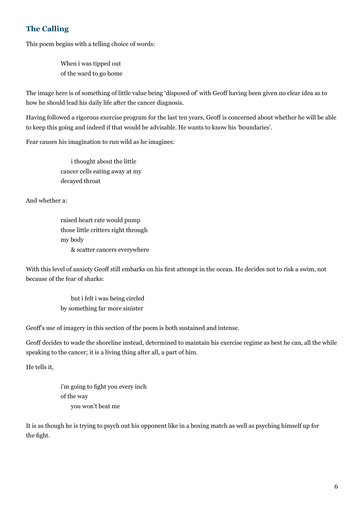# **The Calling**

This poem begins with a telling choice of words:

When i was tipped out of the ward to go home

The image here is of something of little value being 'disposed of' with Geoff having been given no clear idea as to how he should lead his daily life after the cancer diagnosis.

Having followed a rigorous exercise program for the last ten years, Geoff is concerned about whether he will be able to keep this going and indeed if that would be advisable. He wants to know his 'boundaries'.

Fear causes his imagination to run wild as he imagines:

 i thought about the little cancer cells eating away at my decayed throat

And whether a:

raised heart rate would pump those little critters right through my body & scatter cancers everywhere

With this level of anxiety Geoff still embarks on his first attempt in the ocean. He decides not to risk a swim, not because of the fear of sharks:

> but i felt i was being circled by something far more sinister

Geoff's use of imagery in this section of the poem is both sustained and intense.

Geoff decides to wade the shoreline instead, determined to maintain his exercise regime as best he can, all the while speaking to the cancer; it is a living thing after all, a part of him.

He tells it,

i'm going to fight you every inch of the way you won't beat me

It is as though he is trying to psych out his opponent like in a boxing match as well as psyching himself up for the fight.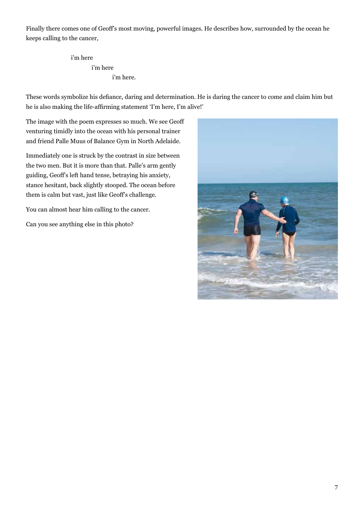Finally there comes one of Geoff's most moving, powerful images. He describes how, surrounded by the ocean he keeps calling to the cancer,

> i'm here i'm here i'm here.

These words symbolize his defiance, daring and determination. He is daring the cancer to come and claim him but he is also making the life-affirming statement 'I'm here, I'm alive!'

The image with the poem expresses so much. We see Geoff venturing timidly into the ocean with his personal trainer and friend Palle Muus of Balance Gym in North Adelaide.

Immediately one is struck by the contrast in size between the two men. But it is more than that. Palle's arm gently guiding, Geoff's left hand tense, betraying his anxiety, stance hesitant, back slightly stooped. The ocean before them is calm but vast, just like Geoff's challenge.

You can almost hear him calling to the cancer.

Can you see anything else in this photo?

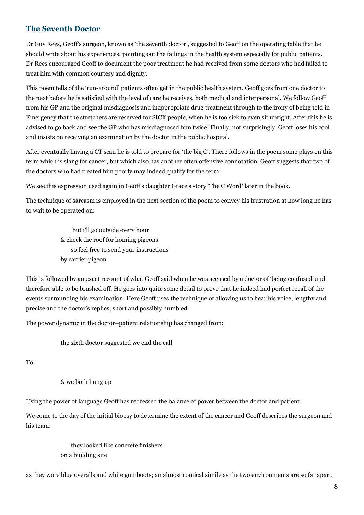## **The Seventh Doctor**

Dr Guy Rees, Geoff's surgeon, known as 'the seventh doctor', suggested to Geoff on the operating table that he should write about his experiences, pointing out the failings in the health system especially for public patients. Dr Rees encouraged Geoff to document the poor treatment he had received from some doctors who had failed to treat him with common courtesy and dignity.

This poem tells of the 'run-around' patients often get in the public health system. Geoff goes from one doctor to the next before he is satisfied with the level of care he receives, both medical and interpersonal. We follow Geoff from his GP and the original misdiagnosis and inappropriate drug treatment through to the irony of being told in Emergency that the stretchers are reserved for SICK people, when he is too sick to even sit upright. After this he is advised to go back and see the GP who has misdiagnosed him twice! Finally, not surprisingly, Geoff loses his cool and insists on receiving an examination by the doctor in the public hospital.

After eventually having a CT scan he is told to prepare for 'the big C'. There follows in the poem some plays on this term which is slang for cancer, but which also has another often offensive connotation. Geoff suggests that two of the doctors who had treated him poorly may indeed qualify for the term.

We see this expression used again in Geoff's daughter Grace's story 'The C Word' later in the book.

The technique of sarcasm is employed in the next section of the poem to convey his frustration at how long he has to wait to be operated on:

> but i'll go outside every hour & check the roof for homing pigeons so feel free to send your instructions by carrier pigeon

This is followed by an exact recount of what Geoff said when he was accused by a doctor of 'being confused' and therefore able to be brushed off. He goes into quite some detail to prove that he indeed had perfect recall of the events surrounding his examination. Here Geoff uses the technique of allowing us to hear his voice, lengthy and precise and the doctor's replies, short and possibly humbled.

The power dynamic in the doctor–patient relationship has changed from:

the sixth doctor suggested we end the call

To:

#### & we both hung up

Using the power of language Geoff has redressed the balance of power between the doctor and patient.

We come to the day of the initial biopsy to determine the extent of the cancer and Geoff describes the surgeon and his team:

> they looked like concrete finishers on a building site

as they wore blue overalls and white gumboots; an almost comical simile as the two environments are so far apart.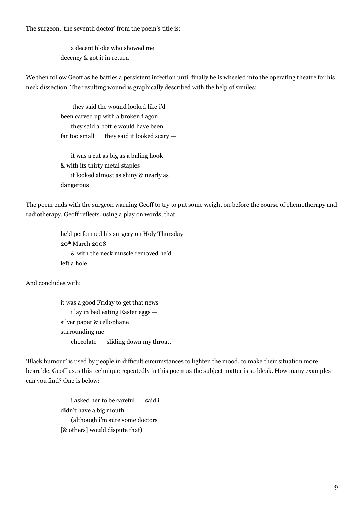The surgeon, 'the seventh doctor' from the poem's title is:

 a decent bloke who showed me decency & got it in return

We then follow Geoff as he battles a persistent infection until finally he is wheeled into the operating theatre for his neck dissection. The resulting wound is graphically described with the help of similes:

> they said the wound looked like i'd been carved up with a broken flagon they said a bottle would have been far too small they said it looked scary  $-$

 it was a cut as big as a baling hook & with its thirty metal staples it looked almost as shiny & nearly as dangerous

The poem ends with the surgeon warning Geoff to try to put some weight on before the course of chemotherapy and radiotherapy. Geoff reflects, using a play on words, that:

> he'd performed his surgery on Holy Thursday  $20<sup>th</sup> March 2008$  & with the neck muscle removed he'd left a hole

And concludes with:

it was a good Friday to get that news i lay in bed eating Easter eggs silver paper & cellophane surrounding me chocolate sliding down my throat.

'Black humour' is used by people in difficult circumstances to lighten the mood, to make their situation more bearable. Geoff uses this technique repeatedly in this poem as the subject matter is so bleak. How many examples can you find? One is below:

> i asked her to be careful said i didn't have a big mouth (although i'm sure some doctors [& others] would dispute that)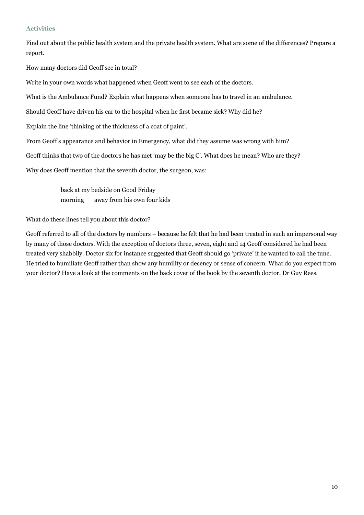#### **Activities**

Find out about the public health system and the private health system. What are some of the differences? Prepare a report.

How many doctors did Geoff see in total?

Write in your own words what happened when Geoff went to see each of the doctors.

What is the Ambulance Fund? Explain what happens when someone has to travel in an ambulance.

Should Geoff have driven his car to the hospital when he first became sick? Why did he?

Explain the line 'thinking of the thickness of a coat of paint'.

From Geoff's appearance and behavior in Emergency, what did they assume was wrong with him?

Geoff thinks that two of the doctors he has met 'may be the big C'. What does he mean? Who are they?

Why does Geoff mention that the seventh doctor, the surgeon, was:

back at my bedside on Good Friday morning away from his own four kids

What do these lines tell you about this doctor?

Geoff referred to all of the doctors by numbers – because he felt that he had been treated in such an impersonal way by many of those doctors. With the exception of doctors three, seven, eight and 14 Geoff considered he had been treated very shabbily. Doctor six for instance suggested that Geoff should go 'private' if he wanted to call the tune. He tried to humiliate Geoff rather than show any humility or decency or sense of concern. What do you expect from your doctor? Have a look at the comments on the back cover of the book by the seventh doctor, Dr Guy Rees.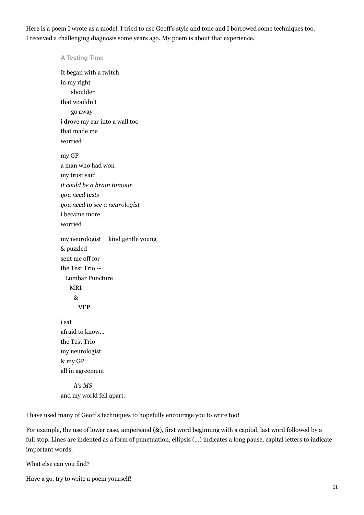Here is a poem I wrote as a model. I tried to use Geoff's style and tone and I borrowed some techniques too. I received a challenging diagnosis some years ago. My poem is about that experience.

#### **A Testing Time**

It began with a twitch in my right shoulder that wouldn't go away i drove my car into a wall too that made me worried my GP a man who had won my trust said *it could be a brain tumour you need tests you need to see a neurologist* i became more worried my neurologist kind gentle young & puzzled sent me off for the Test Trio -- Lumbar Puncture MRI & VEP i sat afraid to know… the Test Trio

my neurologist & my GP all in agreement

 *it's MS* and my world fell apart.

I have used many of Geoff's techniques to hopefully encourage you to write too!

For example, the use of lower case, ampersand (&), first word beginning with a capital, last word followed by a full stop. Lines are indented as a form of punctuation, ellipsis  $(...)$  indicates a long pause, capital letters to indicate important words.

What else can you find?

Have a go, try to write a poem yourself!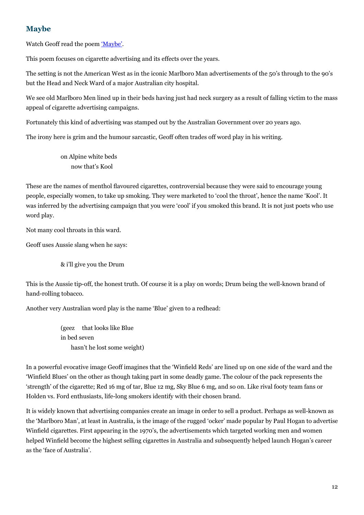# **Maybe**

Watch Geoff read the poem 'Maybe'.

This poem focuses on cigarette advertising and its effects over the years.

The setting is not the American West as in the iconic Marlboro Man advertisements of the 50's through to the 90's but the Head and Neck Ward of a major Australian city hospital.

We see old Marlboro Men lined up in their beds having just had neck surgery as a result of falling victim to the mass appeal of cigarette advertising campaigns.

Fortunately this kind of advertising was stamped out by the Australian Government over 20 years ago.

The irony here is grim and the humour sarcastic, Geoff often trades off word play in his writing.

on Alpine white beds now that's Kool

These are the names of menthol flavoured cigarettes, controversial because they were said to encourage young people, especially women, to take up smoking. They were marketed to 'cool the throat', hence the name 'Kool'. It was inferred by the advertising campaign that you were 'cool' if you smoked this brand. It is not just poets who use word play.

Not many cool throats in this ward.

Geoff uses Aussie slang when he says:

& i'll give you the Drum

This is the Aussie tip-off, the honest truth. Of course it is a play on words; Drum being the well-known brand of hand-rolling tobacco.

Another very Australian word play is the name 'Blue' given to a redhead:

(geez that looks like Blue in bed seven hasn't he lost some weight)

In a powerful evocative image Geoff imagines that the 'Winfield Reds' are lined up on one side of the ward and the 'Winfield Blues' on the other as though taking part in some deadly game. The colour of the pack represents the 'strength' of the cigarette; Red 16 mg of tar, Blue 12 mg, Sky Blue 6 mg, and so on. Like rival footy team fans or Holden vs. Ford enthusiasts, life-long smokers identify with their chosen brand.

It is widely known that advertising companies create an image in order to sell a product. Perhaps as well-known as the 'Marlboro Man', at least in Australia, is the image of the rugged 'ocker' made popular by Paul Hogan to advertise Winfield cigarettes. First appearing in the 1970's, the advertisements which targeted working men and women helped Winfield become the highest selling cigarettes in Australia and subsequently helped launch Hogan's career as the 'face of Australia'.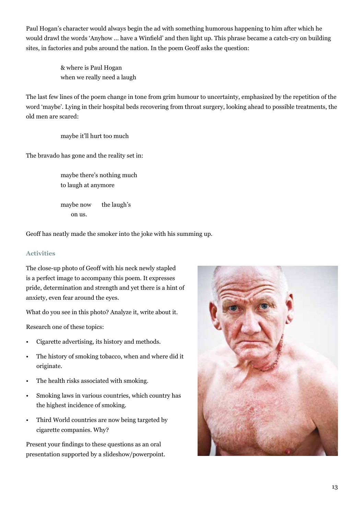Paul Hogan's character would always begin the ad with something humorous happening to him after which he would drawl the words 'Anyhow … have a Winfield' and then light up. This phrase became a catch-cry on building sites, in factories and pubs around the nation. In the poem Geoff asks the question:

> & where is Paul Hogan when we really need a laugh

The last few lines of the poem change in tone from grim humour to uncertainty, emphasized by the repetition of the word 'maybe'. Lying in their hospital beds recovering from throat surgery, looking ahead to possible treatments, the old men are scared:

maybe it'll hurt too much

The bravado has gone and the reality set in:

maybe there's nothing much to laugh at anymore

maybe now the laugh's on us.

Geoff has neatly made the smoker into the joke with his summing up.

#### **Activities**

The close-up photo of Geoff with his neck newly stapled is a perfect image to accompany this poem. It expresses pride, determination and strength and yet there is a hint of anxiety, even fear around the eyes.

What do you see in this photo? Analyze it, write about it.

Research one of these topics:

- Cigarette advertising, its history and methods.
- The history of smoking tobacco, when and where did it originate.
- The health risks associated with smoking.
- Smoking laws in various countries, which country has the highest incidence of smoking.
- Third World countries are now being targeted by cigarette companies. Why?

Present your findings to these questions as an oral presentation supported by a slideshow/powerpoint.

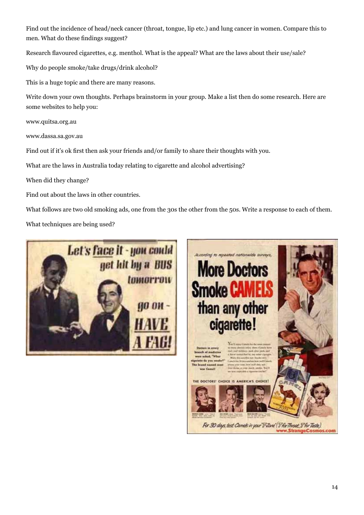Find out the incidence of head/neck cancer (throat, tongue, lip etc.) and lung cancer in women. Compare this to men. What do these findings suggest?

Research flavoured cigarettes, e.g. menthol. What is the appeal? What are the laws about their use/sale?

Why do people smoke/take drugs/drink alcohol?

This is a huge topic and there are many reasons.

Write down your own thoughts. Perhaps brainstorm in your group. Make a list then do some research. Here are some websites to help you:

www.quitsa.org.au

www.dassa.sa.gov.au

Find out if it's ok first then ask your friends and/or family to share their thoughts with you.

What are the laws in Australia today relating to cigarette and alcohol advertising?

When did they change?

Find out about the laws in other countries.

What follows are two old smoking ads, one from the 30s the other from the 50s. Write a response to each of them.

What techniques are being used?

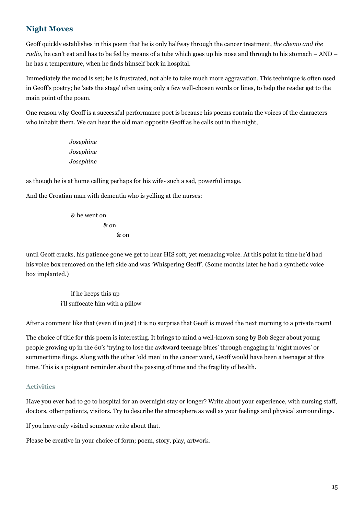# **Night Moves**

Geoff quickly establishes in this poem that he is only halfway through the cancer treatment, *the chemo and the radio*, he can't eat and has to be fed by means of a tube which goes up his nose and through to his stomach – AND – he has a temperature, when he finds himself back in hospital.

Immediately the mood is set; he is frustrated, not able to take much more aggravation. This technique is often used in Geoff's poetry; he 'sets the stage' often using only a few well-chosen words or lines, to help the reader get to the main point of the poem.

One reason why Geoff is a successful performance poet is because his poems contain the voices of the characters who inhabit them. We can hear the old man opposite Geoff as he calls out in the night,

> *Josephine Josephine Josephine*

as though he is at home calling perhaps for his wife- such a sad, powerful image.

And the Croatian man with dementia who is yelling at the nurses:

 & he went on & on & on

until Geoff cracks, his patience gone we get to hear HIS soft, yet menacing voice. At this point in time he'd had his voice box removed on the left side and was 'Whispering Geoff'. (Some months later he had a synthetic voice box implanted.)

> if he keeps this up i'll suffocate him with a pillow

After a comment like that (even if in jest) it is no surprise that Geoff is moved the next morning to a private room!

The choice of title for this poem is interesting. It brings to mind a well-known song by Bob Seger about young people growing up in the 60's 'trying to lose the awkward teenage blues' through engaging in 'night moves' or summertime flings. Along with the other 'old men' in the cancer ward, Geoff would have been a teenager at this time. This is a poignant reminder about the passing of time and the fragility of health.

#### **Activities**

Have you ever had to go to hospital for an overnight stay or longer? Write about your experience, with nursing staff, doctors, other patients, visitors. Try to describe the atmosphere as well as your feelings and physical surroundings.

If you have only visited someone write about that.

Please be creative in your choice of form; poem, story, play, artwork.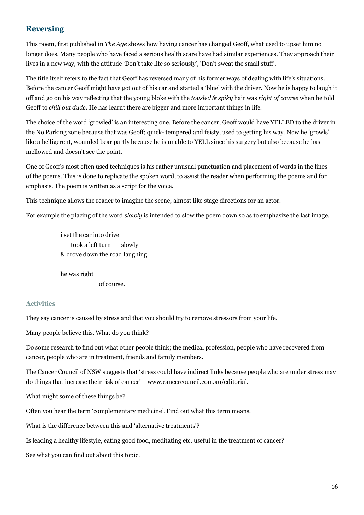### **Reversing**

This poem, first published in *The Age* shows how having cancer has changed Geoff, what used to upset him no longer does. Many people who have faced a serious health scare have had similar experiences. They approach their lives in a new way, with the attitude 'Don't take life so seriously', 'Don't sweat the small stuff'.

The title itself refers to the fact that Geoff has reversed many of his former ways of dealing with life's situations. Before the cancer Geoff might have got out of his car and started a 'blue' with the driver. Now he is happy to laugh it off and go on his way reflecting that the young bloke with the *tousled & spiky* hair was *right of course* when he told Geoff to *chill out dude*. He has learnt there are bigger and more important things in life.

The choice of the word 'growled' is an interesting one. Before the cancer, Geoff would have YELLED to the driver in the No Parking zone because that was Geoff; quick- tempered and feisty, used to getting his way. Now he 'growls' like a belligerent, wounded bear partly because he is unable to YELL since his surgery but also because he has mellowed and doesn't see the point.

One of Geoff's most often used techniques is his rather unusual punctuation and placement of words in the lines of the poems. This is done to replicate the spoken word, to assist the reader when performing the poems and for emphasis. The poem is written as a script for the voice.

This technique allows the reader to imagine the scene, almost like stage directions for an actor.

For example the placing of the word *slowly* is intended to slow the poem down so as to emphasize the last image.

i set the car into drive took a left turn slowly — & drove down the road laughing

he was right of course.

#### **Activities**

They say cancer is caused by stress and that you should try to remove stressors from your life.

Many people believe this. What do you think?

Do some research to find out what other people think; the medical profession, people who have recovered from cancer, people who are in treatment, friends and family members.

The Cancer Council of NSW suggests that 'stress could have indirect links because people who are under stress may do things that increase their risk of cancer' – www.cancercouncil.com.au/editorial.

What might some of these things be?

Often you hear the term 'complementary medicine'. Find out what this term means.

What is the difference between this and 'alternative treatments'?

Is leading a healthy lifestyle, eating good food, meditating etc. useful in the treatment of cancer?

See what you can find out about this topic.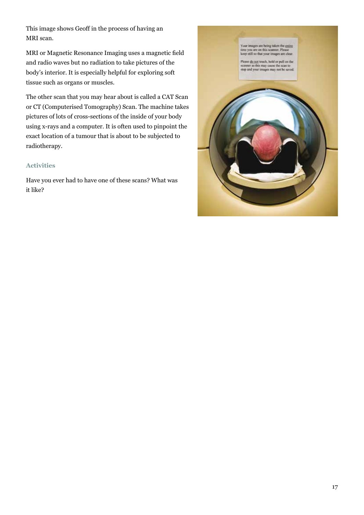This image shows Geoff in the process of having an MRI scan.

MRI or Magnetic Resonance Imaging uses a magnetic field and radio waves but no radiation to take pictures of the body's interior. It is especially helpful for exploring soft tissue such as organs or muscles.

The other scan that you may hear about is called a CAT Scan or CT (Computerised Tomography) Scan. The machine takes pictures of lots of cross-sections of the inside of your body using x-rays and a computer. It is often used to pinpoint the exact location of a tumour that is about to be subjected to radiotherapy.

#### **Activities**

Have you ever had to have one of these scans? What was it like?

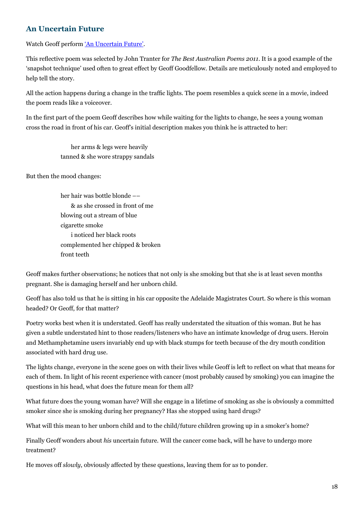# **An Uncertain Future**

Watch Geoff perform 'An Uncertain Future'.

This reflective poem was selected by John Tranter for *The Best Australian Poems 2011*. It is a good example of the 'snapshot technique' used often to great effect by Geoff Goodfellow. Details are meticulously noted and employed to help tell the story.

All the action happens during a change in the traffic lights. The poem resembles a quick scene in a movie, indeed the poem reads like a voiceover.

In the first part of the poem Geoff describes how while waiting for the lights to change, he sees a young woman cross the road in front of his car. Geoff's initial description makes you think he is attracted to her:

> her arms & legs were heavily tanned & she wore strappy sandals

But then the mood changes:

her hair was bottle blonde –– & as she crossed in front of me blowing out a stream of blue cigarette smoke i noticed her black roots complemented her chipped & broken front teeth

Geoff makes further observations; he notices that not only is she smoking but that she is at least seven months pregnant. She is damaging herself and her unborn child.

Geoff has also told us that he is sitting in his car opposite the Adelaide Magistrates Court. So where is this woman headed? Or Geoff, for that matter?

Poetry works best when it is understated. Geoff has really understated the situation of this woman. But he has given a subtle understated hint to those readers/listeners who have an intimate knowledge of drug users. Heroin and Methamphetamine users invariably end up with black stumps for teeth because of the dry mouth condition associated with hard drug use.

The lights change, everyone in the scene goes on with their lives while Geoff is left to reflect on what that means for each of them. In light of his recent experience with cancer (most probably caused by smoking) you can imagine the questions in his head, what does the future mean for them all?

What future does the young woman have? Will she engage in a lifetime of smoking as she is obviously a committed smoker since she is smoking during her pregnancy? Has she stopped using hard drugs?

What will this mean to her unborn child and to the child/future children growing up in a smoker's home?

Finally Geoff wonders about *his* uncertain future. Will the cancer come back, will he have to undergo more treatment?

He moves off *slowly*, obviously affected by these questions, leaving them for *us* to ponder.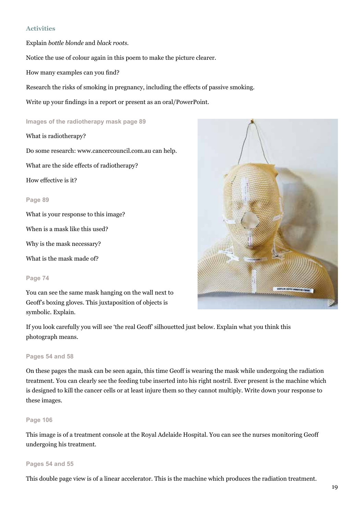#### **Activities**

Explain *bottle blonde* and *black roots*.

Notice the use of colour again in this poem to make the picture clearer.

How many examples can you find?

Research the risks of smoking in pregnancy, including the effects of passive smoking.

Write up your findings in a report or present as an oral/PowerPoint.

#### **Images of the radiotherapy mask page 89**

What is radiotherapy?

Do some research: www.cancercouncil.com.au can help.

What are the side effects of radiotherapy?

How effective is it?

#### **Page 89**

What is your response to this image?

When is a mask like this used?

Why is the mask necessary?

What is the mask made of?

#### **Page 74**

You can see the same mask hanging on the wall next to Geoff's boxing gloves. This juxtaposition of objects is symbolic. Explain.



If you look carefully you will see 'the real Geoff' silhouetted just below. Explain what you think this photograph means.

#### **Pages 54 and 58**

On these pages the mask can be seen again, this time Geoff is wearing the mask while undergoing the radiation treatment. You can clearly see the feeding tube inserted into his right nostril. Ever present is the machine which is designed to kill the cancer cells or at least injure them so they cannot multiply. Write down your response to these images.

#### **Page 106**

This image is of a treatment console at the Royal Adelaide Hospital. You can see the nurses monitoring Geoff undergoing his treatment.

#### **Pages 54 and 55**

This double page view is of a linear accelerator. This is the machine which produces the radiation treatment.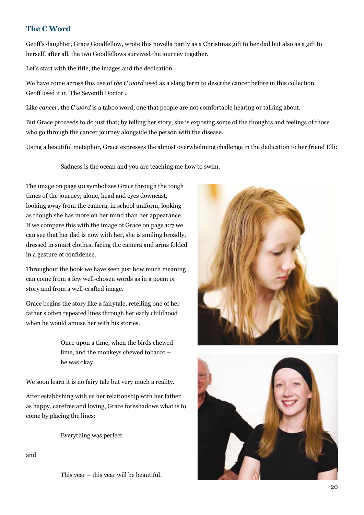# **The C Word**

Geoff's daughter, Grace Goodfellow, wrote this novella partly as a Christmas gift to her dad but also as a gift to herself, after all, the two Goodfellows survived the journey together.

Let's start with the title, the images and the dedication.

We have come across this use of *the C word* used as a slang term to describe cancer before in this collection. Geoff used it in 'The Seventh Doctor'.

Like *cancer*, the *C* word is a taboo word, one that people are not comfortable hearing or talking about.

But Grace proceeds to do just that; by telling her story, she is exposing some of the thoughts and feelings of those who go through the cancer journey alongside the person with the disease.

Using a beautiful metaphor, Grace expresses the almost overwhelming challenge in the dedication to her friend Elli:

Sadness is the ocean and you are teaching me how to swim.

The image on page 90 symbolizes Grace through the tough times of the journey; alone, head and eyes downcast, looking away from the camera, in school uniform, looking as though she has more on her mind than her appearance. If we compare this with the image of Grace on page 127 we can see that her dad is now with her, she is smiling broadly, dressed in smart clothes, facing the camera and arms folded in a gesture of confidence.

Throughout the book we have seen just how much meaning can come from a few well-chosen words as in a poem or story and from a well-crafted image.

Grace begins the story like a fairytale, retelling one of her father's often repeated lines through her early childhood when he would amuse her with his stories.

> Once upon a time, when the birds chewed lime, and the monkeys chewed tobacco – he was okay.

We soon learn it is no fairy tale but very much a reality.

After establishing with us her relationship with her father as happy, carefree and loving, Grace foreshadows what is to come by placing the lines:

Everything was perfect.

and

This year – this year will be beautiful.